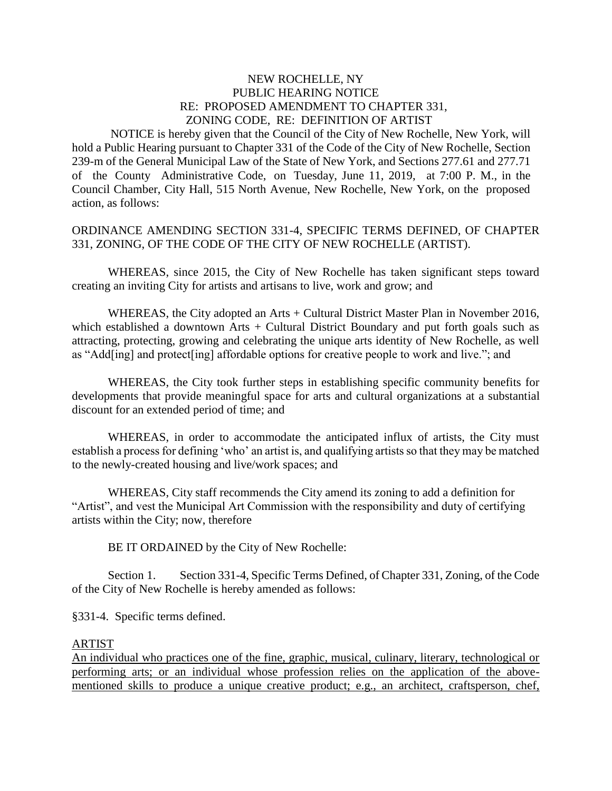## NEW ROCHELLE, NY PUBLIC HEARING NOTICE RE: PROPOSED AMENDMENT TO CHAPTER 331, ZONING CODE, RE: DEFINITION OF ARTIST

 NOTICE is hereby given that the Council of the City of New Rochelle, New York, will hold a Public Hearing pursuant to Chapter 331 of the Code of the City of New Rochelle, Section 239-m of the General Municipal Law of the State of New York, and Sections 277.61 and 277.71 of the County Administrative Code, on Tuesday, June 11, 2019, at 7:00 P. M., in the Council Chamber, City Hall, 515 North Avenue, New Rochelle, New York, on the proposed action, as follows:

## ORDINANCE AMENDING SECTION 331-4, SPECIFIC TERMS DEFINED, OF CHAPTER 331, ZONING, OF THE CODE OF THE CITY OF NEW ROCHELLE (ARTIST).

WHEREAS, since 2015, the City of New Rochelle has taken significant steps toward creating an inviting City for artists and artisans to live, work and grow; and

WHEREAS, the City adopted an Arts + Cultural District Master Plan in November 2016, which established a downtown Arts + Cultural District Boundary and put forth goals such as attracting, protecting, growing and celebrating the unique arts identity of New Rochelle, as well as "Add[ing] and protect[ing] affordable options for creative people to work and live."; and

WHEREAS, the City took further steps in establishing specific community benefits for developments that provide meaningful space for arts and cultural organizations at a substantial discount for an extended period of time; and

WHEREAS, in order to accommodate the anticipated influx of artists, the City must establish a process for defining 'who' an artist is, and qualifying artists so that they may be matched to the newly-created housing and live/work spaces; and

WHEREAS, City staff recommends the City amend its zoning to add a definition for "Artist", and vest the Municipal Art Commission with the responsibility and duty of certifying artists within the City; now, therefore

BE IT ORDAINED by the City of New Rochelle:

Section 1. Section 331-4, Specific Terms Defined, of Chapter 331, Zoning, of the Code of the City of New Rochelle is hereby amended as follows:

§331-4. Specific terms defined.

## ARTIST

An individual who practices one of the fine, graphic, musical, culinary, literary, technological or performing arts; or an individual whose profession relies on the application of the abovementioned skills to produce a unique creative product; e.g., an architect, craftsperson, chef,